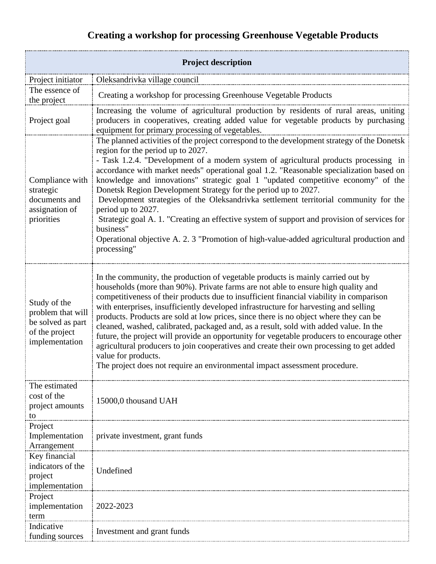## **Creating a workshop for processing Greenhouse Vegetable Products**

| <b>Project description</b>                                                                 |                                                                                                                                                                                                                                                                                                                                                                                                                                                                                                                                                                                                                                                                                                                                                                                                                                          |  |
|--------------------------------------------------------------------------------------------|------------------------------------------------------------------------------------------------------------------------------------------------------------------------------------------------------------------------------------------------------------------------------------------------------------------------------------------------------------------------------------------------------------------------------------------------------------------------------------------------------------------------------------------------------------------------------------------------------------------------------------------------------------------------------------------------------------------------------------------------------------------------------------------------------------------------------------------|--|
| Project initiator                                                                          | Oleksandrivka village council                                                                                                                                                                                                                                                                                                                                                                                                                                                                                                                                                                                                                                                                                                                                                                                                            |  |
| The essence of<br>the project                                                              | Creating a workshop for processing Greenhouse Vegetable Products                                                                                                                                                                                                                                                                                                                                                                                                                                                                                                                                                                                                                                                                                                                                                                         |  |
| Project goal                                                                               | Increasing the volume of agricultural production by residents of rural areas, uniting<br>producers in cooperatives, creating added value for vegetable products by purchasing<br>equipment for primary processing of vegetables.                                                                                                                                                                                                                                                                                                                                                                                                                                                                                                                                                                                                         |  |
| Compliance with<br>strategic<br>documents and<br>assignation of<br>priorities              | The planned activities of the project correspond to the development strategy of the Donetsk<br>region for the period up to 2027.<br>- Task 1.2.4. "Development of a modern system of agricultural products processing in<br>accordance with market needs" operational goal 1.2. "Reasonable specialization based on<br>knowledge and innovations" strategic goal 1 "updated competitive economy" of the<br>Donetsk Region Development Strategy for the period up to 2027.<br>Development strategies of the Oleksandrivka settlement territorial community for the<br>period up to 2027.<br>Strategic goal A. 1. "Creating an effective system of support and provision of services for<br>business"<br>Operational objective A. 2. 3 "Promotion of high-value-added agricultural production and<br>processing"                           |  |
| Study of the<br>problem that will<br>be solved as part<br>of the project<br>implementation | In the community, the production of vegetable products is mainly carried out by<br>households (more than 90%). Private farms are not able to ensure high quality and<br>competitiveness of their products due to insufficient financial viability in comparison<br>with enterprises, insufficiently developed infrastructure for harvesting and selling<br>products. Products are sold at low prices, since there is no object where they can be<br>cleaned, washed, calibrated, packaged and, as a result, sold with added value. In the<br>future, the project will provide an opportunity for vegetable producers to encourage other<br>agricultural producers to join cooperatives and create their own processing to get added<br>value for products.<br>The project does not require an environmental impact assessment procedure. |  |
| The estimated<br>cost of the<br>project amounts<br>to                                      | 15000,0 thousand UAH                                                                                                                                                                                                                                                                                                                                                                                                                                                                                                                                                                                                                                                                                                                                                                                                                     |  |
| Project<br>Implementation<br>Arrangement                                                   | private investment, grant funds                                                                                                                                                                                                                                                                                                                                                                                                                                                                                                                                                                                                                                                                                                                                                                                                          |  |
| Key financial<br>indicators of the<br>project<br>implementation                            | Undefined                                                                                                                                                                                                                                                                                                                                                                                                                                                                                                                                                                                                                                                                                                                                                                                                                                |  |
| Project<br>implementation<br>term                                                          | 2022-2023                                                                                                                                                                                                                                                                                                                                                                                                                                                                                                                                                                                                                                                                                                                                                                                                                                |  |
| Indicative<br>funding sources                                                              | Investment and grant funds                                                                                                                                                                                                                                                                                                                                                                                                                                                                                                                                                                                                                                                                                                                                                                                                               |  |